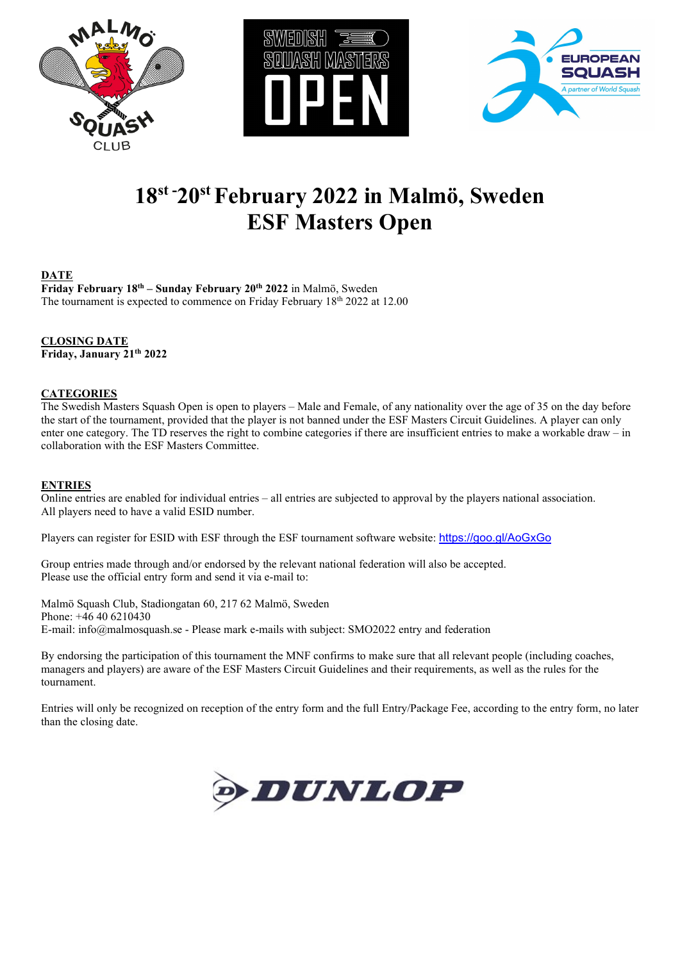





# **18st - 20st February 2022 in Malmö, Sweden ESF Masters Open**

## **DATE**

**Friday February 18th – Sunday February 20th 2022** in Malmö, Sweden The tournament is expected to commence on Friday February  $18<sup>th</sup> 2022$  at 12.00

**CLOSING DATE Friday, January 21th 2022**

## **CATEGORIES**

The Swedish Masters Squash Open is open to players – Male and Female, of any nationality over the age of 35 on the day before the start of the tournament, provided that the player is not banned under the ESF Masters Circuit Guidelines. A player can only enter one category. The TD reserves the right to combine categories if there are insufficient entries to make a workable draw – in collaboration with the ESF Masters Committee.

### **ENTRIES**

Online entries are enabled for individual entries – all entries are subjected to approval by the players national association. All players need to have a valid ESID number.

Players can register for ESID with ESF through the ESF tournament software website: <https://goo.gl/AoGxGo>

Group entries made through and/or endorsed by the relevant national federation will also be accepted. Please use the official entry form and send it via e-mail to:

Malmö Squash Club, Stadiongatan 60, 217 62 Malmö, Sweden Phone: +46 40 6210430 E-mail: info@malmosquash.se - Please mark e-mails with subject: SMO2022 entry and federation

By endorsing the participation of this tournament the MNF confirms to make sure that all relevant people (including coaches, managers and players) are aware of the ESF Masters Circuit Guidelines and their requirements, as well as the rules for the tournament.

Entries will only be recognized on reception of the entry form and the full Entry/Package Fee, according to the entry form, no later than the closing date.

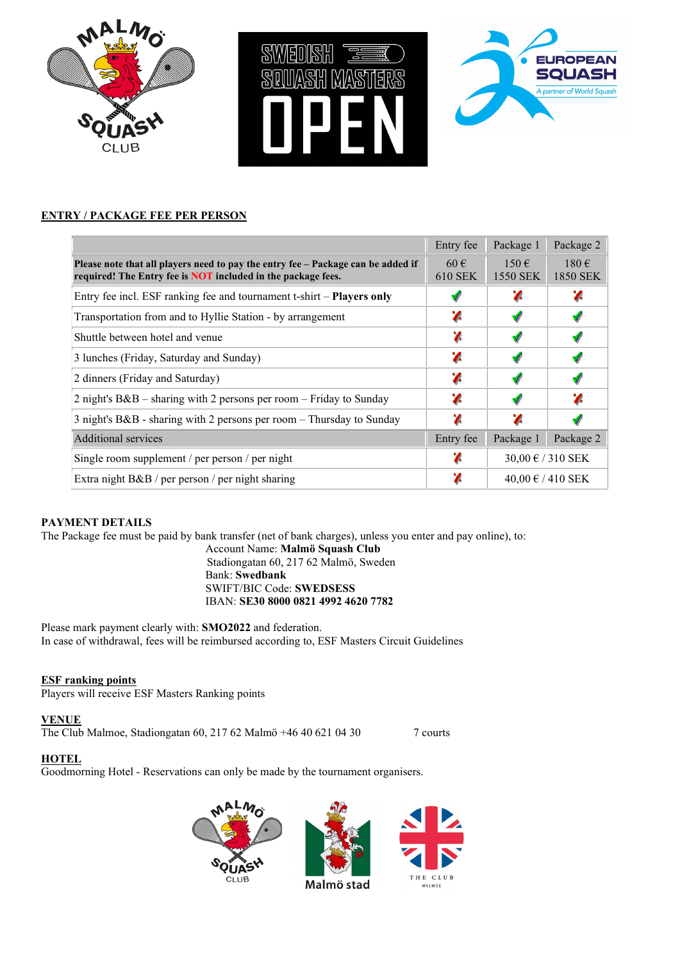





## **ENTRY / PACKAGE FEE PER PERSON**

|                                                                                                                                                  | Entry fee           | Package 1              | Package 2             |  |  |
|--------------------------------------------------------------------------------------------------------------------------------------------------|---------------------|------------------------|-----------------------|--|--|
| Please note that all players need to pay the entry fee – Package can be added if<br>required! The Entry fee is NOT included in the package fees. | $60 \in$<br>610 SEK | $150 \in$<br>1550 SEK  | $180 \in$<br>1850 SEK |  |  |
| Entry fee incl. ESF ranking fee and tournament t-shirt – <b>Players only</b>                                                                     |                     |                        |                       |  |  |
| Transportation from and to Hyllie Station - by arrangement                                                                                       | Z                   |                        |                       |  |  |
| Shuttle between hotel and venue                                                                                                                  | Z                   |                        |                       |  |  |
| 3 lunches (Friday, Saturday and Sunday)                                                                                                          | Z                   |                        |                       |  |  |
| 2 dinners (Friday and Saturday)                                                                                                                  | z                   |                        |                       |  |  |
| 2 night's $B&B -$ sharing with 2 persons per room $-$ Friday to Sunday                                                                           | z                   |                        |                       |  |  |
| 3 night's B&B - sharing with 2 persons per room - Thursday to Sunday                                                                             | Z                   | z                      |                       |  |  |
| Additional services                                                                                                                              | Entry fee           | Package 1              | Package 2             |  |  |
| Single room supplement / per person / per night                                                                                                  | Λ                   | $30,00 \in / 310$ SEK  |                       |  |  |
| Extra night B&B / per person / per night sharing                                                                                                 | χ                   | $40,00 \notin 410$ SEK |                       |  |  |

## **PAYMENT DETAILS**

The Package fee must be paid by bank transfer (net of bank charges), unless you enter and pay online), to:

Account Name: **Malmö Squash Club** Stadiongatan 60, 217 62 Malmö, Sweden Bank: **Swedbank** SWIFT/BIC Code: **SWEDSESS** IBAN: **SE30 8000 0821 4992 4620 7782**

Please mark payment clearly with: **SMO2022** and federation. In case of withdrawal, fees will be reimbursed according to, ESF Masters Circuit Guidelines

## **ESF ranking points**

Players will receive ESF Masters Ranking points

## **VENUE**

The Club Malmoe, Stadiongatan 60, 217 62 Malmö +46 40 621 04 30 7 courts

## **HOTEL**

Goodmorning Hotel - Reservations can only be made by the tournament organisers.





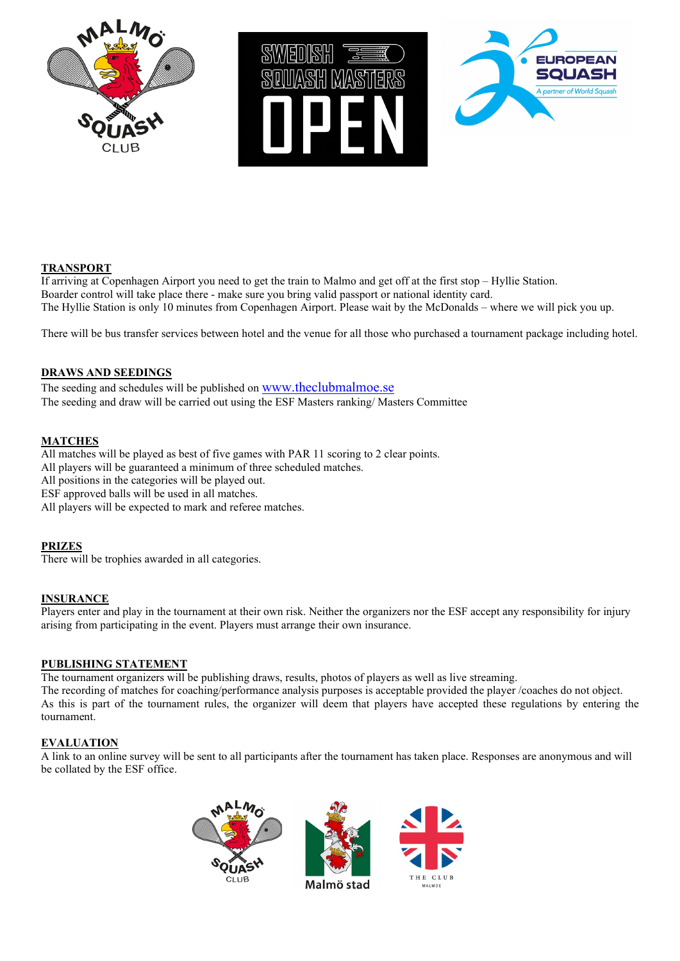





## **TRANSPORT**

If arriving at Copenhagen Airport you need to get the train to Malmo and get off at the first stop – Hyllie Station. Boarder control will take place there - make sure you bring valid passport or national identity card. The Hyllie Station is only 10 minutes from Copenhagen Airport. Please wait by the McDonalds – where we will pick you up.

There will be bus transfer services between hotel and the venue for all those who purchased a tournament package including hotel.

#### **DRAWS AND SEEDINGS**

The seeding and schedules will be published on [www.theclubmalmoe.se](http://www.theclubmalmoe.se/) The seeding and draw will be carried out using the ESF Masters ranking/ Masters Committee

#### **MATCHES**

All matches will be played as best of five games with PAR 11 scoring to 2 clear points. All players will be guaranteed a minimum of three scheduled matches. All positions in the categories will be played out. ESF approved balls will be used in all matches. All players will be expected to mark and referee matches.

#### **PRIZES**

There will be trophies awarded in all categories.

#### **INSURANCE**

Players enter and play in the tournament at their own risk. Neither the organizers nor the ESF accept any responsibility for injury arising from participating in the event. Players must arrange their own insurance.

#### **PUBLISHING STATEMENT**

The tournament organizers will be publishing draws, results, photos of players as well as live streaming.

The recording of matches for coaching/performance analysis purposes is acceptable provided the player /coaches do not object. As this is part of the tournament rules, the organizer will deem that players have accepted these regulations by entering the tournament.

#### **EVALUATION**

A link to an online survey will be sent to all participants after the tournament has taken place. Responses are anonymous and will be collated by the ESF office.





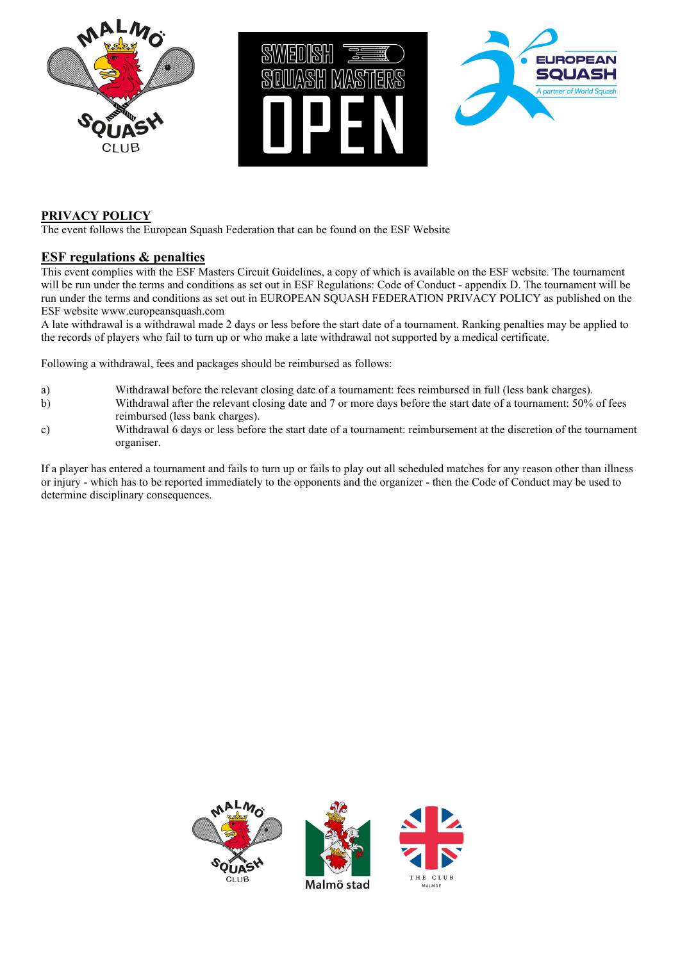





## **PRIVACY POLICY**

The event follows the European Squash Federation that can be found on the ESF Website

## **ESF regulations & penalties**

This event complies with the ESF Masters Circuit Guidelines, a copy of which is available on the ESF website. The tournament will be run under the terms and conditions as set out in ESF Regulations: Code of Conduct - appendix D. The tournament will be run under the terms and conditions as set out in EUROPEAN SQUASH FEDERATION PRIVACY POLICY as published on the ESF website www.europeansquash.com

A late withdrawal is a withdrawal made 2 days or less before the start date of a tournament. Ranking penalties may be applied to the records of players who fail to turn up or who make a late withdrawal not supported by a medical certificate.

Following a withdrawal, fees and packages should be reimbursed as follows:

- a) Withdrawal before the relevant closing date of a tournament: fees reimbursed in full (less bank charges).
- b) Withdrawal after the relevant closing date and 7 or more days before the start date of a tournament: 50% of fees reimbursed (less bank charges).
- c) Withdrawal 6 days or less before the start date of a tournament: reimbursement at the discretion of the tournament organiser.

If a player has entered a tournament and fails to turn up or fails to play out all scheduled matches for any reason other than illness or injury - which has to be reported immediately to the opponents and the organizer - then the Code of Conduct may be used to determine disciplinary consequences.